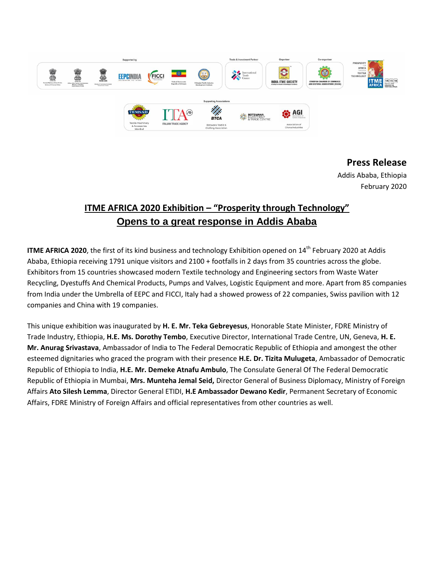

## **Press Release**

Addis Ababa, Ethiopia February 2020

## **ITME AFRICA 2020 Exhibition – "Prosperity through Technology" Opens to a great response in Addis Ababa**

**ITME AFRICA 2020**, the first of its kind business and technology Exhibition opened on 14<sup>th</sup> February 2020 at Addis Ababa, Ethiopia receiving 1791 unique visitors and 2100 + footfalls in 2 days from 35 countries across the globe. Exhibitors from 15 countries showcased modern Textile technology and Engineering sectors from Waste Water Recycling, Dyestuffs And Chemical Products, Pumps and Valves, Logistic Equipment and more. Apart from 85 companies from India under the Umbrella of EEPC and FICCI, Italy had a showed prowess of 22 companies, Swiss pavilion with 12 companies and China with 19 companies.

This unique exhibition was inaugurated by **H. E. Mr. Teka Gebreyesus**, Honorable State Minister, FDRE Ministry of Trade Industry, Ethiopia, **H.E. Ms. Dorothy Tembo**, Executive Director, International Trade Centre, UN, Geneva, **H. E. Mr. Anurag Srivastava**, Ambassador of India to The Federal Democratic Republic of Ethiopia and amongest the other esteemed dignitaries who graced the program with their presence **H.E. Dr. Tizita Mulugeta**, Ambassador of Democratic Republic of Ethiopia to India, **H.E. Mr. Demeke Atnafu Ambulo**, The Consulate General Of The Federal Democratic Republic of Ethiopia in Mumbai, **Mrs. Munteha Jemal Seid,** Director General of Business Diplomacy, Ministry of Foreign Affairs **Ato Silesh Lemma**, Director General ETIDI, **H.E Ambassador Dewano Kedir**, Permanent Secretary of Economic Affairs, FDRE Ministry of Foreign Affairs and official representatives from other countries as well.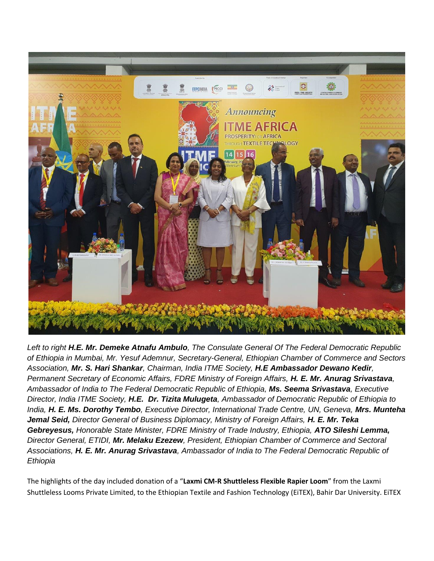

*Left to right H.E. Mr. Demeke Atnafu Ambulo, The Consulate General Of The Federal Democratic Republic of Ethiopia in Mumbai, Mr. Yesuf Ademnur, Secretary-General, Ethiopian Chamber of Commerce and Sectors Association, Mr. S. Hari Shankar, Chairman, India ITME Society, H.E Ambassador Dewano Kedir, Permanent Secretary of Economic Affairs, FDRE Ministry of Foreign Affairs, H. E. Mr. Anurag Srivastava, Ambassador of India to The Federal Democratic Republic of Ethiopia, Ms. Seema Srivastava, Executive Director, India ITME Society, H.E. Dr. Tizita Mulugeta, Ambassador of Democratic Republic of Ethiopia to India, H. E. Ms. Dorothy Tembo, Executive Director, International Trade Centre, UN, Geneva, Mrs. Munteha Jemal Seid, Director General of Business Diplomacy, Ministry of Foreign Affairs, H. E. Mr. Teka Gebreyesus, Honorable State Minister, FDRE Ministry of Trade Industry, Ethiopia, ATO Sileshi Lemma, Director General, ETIDI, Mr. Melaku Ezezew, President, Ethiopian Chamber of Commerce and Sectoral Associations, H. E. Mr. Anurag Srivastava, Ambassador of India to The Federal Democratic Republic of Ethiopia*

The highlights of the day included donation of a "**Laxmi CM-R Shuttleless Flexible Rapier Loom**" from the Laxmi Shuttleless Looms Private Limited, to the Ethiopian Textile and Fashion Technology (EiTEX), Bahir Dar University. EiTEX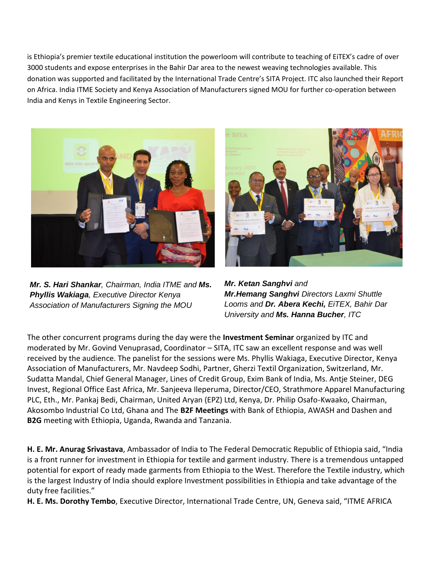is Ethiopia's premier textile educational institution the powerloom will contribute to teaching of EiTEX's cadre of over 3000 students and expose enterprises in the Bahir Dar area to the newest weaving technologies available. This donation was supported and facilitated by the International Trade Centre's SITA Project. ITC also launched their Report on Africa. India ITME Society and Kenya Association of Manufacturers signed MOU for further co-operation between India and Kenys in Textile Engineering Sector.



*Mr. S. Hari Shankar, Chairman, India ITME and Ms. Phyllis Wakiaga, Executive Director Kenya Association of Manufacturers Signing the MOU*



*Mr. Ketan Sanghvi and Mr.Hemang Sanghvi Directors Laxmi Shuttle Looms and Dr. Abera Kechi, EiTEX, Bahir Dar University and Ms. Hanna Bucher, ITC*

The other concurrent programs during the day were the **Investment Seminar** organized by ITC and moderated by Mr. Govind Venuprasad, Coordinator – SITA, ITC saw an excellent response and was well received by the audience. The panelist for the sessions were Ms. Phyllis Wakiaga, Executive Director, Kenya Association of Manufacturers, Mr. Navdeep Sodhi, Partner, Gherzi Textil Organization, Switzerland, Mr. Sudatta Mandal, Chief General Manager, Lines of Credit Group, Exim Bank of India, Ms. Antje Steiner, DEG Invest, Regional Office East Africa, Mr. Sanjeeva Ileperuma, Director/CEO, Strathmore Apparel Manufacturing PLC, Eth., Mr. Pankaj Bedi, Chairman, United Aryan (EPZ) Ltd, Kenya, Dr. Philip Osafo-Kwaako, Chairman, Akosombo Industrial Co Ltd, Ghana and The **B2F Meetings** with Bank of Ethiopia, AWASH and Dashen and **B2G** meeting with Ethiopia, Uganda, Rwanda and Tanzania.

**H. E. Mr. Anurag Srivastava**, Ambassador of India to The Federal Democratic Republic of Ethiopia said, "India is a front runner for investment in Ethiopia for textile and garment industry. There is a tremendous untapped potential for export of ready made garments from Ethiopia to the West. Therefore the Textile industry, which is the largest Industry of India should explore Investment possibilities in Ethiopia and take advantage of the duty free facilities."

**H. E. Ms. Dorothy Tembo**, Executive Director, International Trade Centre, UN, Geneva said, "ITME AFRICA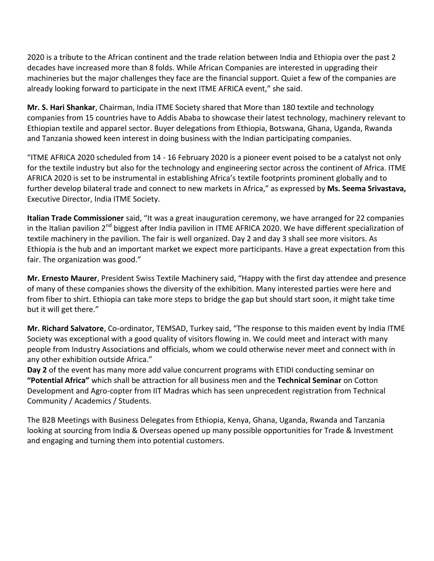2020 is a tribute to the African continent and the trade relation between India and Ethiopia over the past 2 decades have increased more than 8 folds. While African Companies are interested in upgrading their machineries but the major challenges they face are the financial support. Quiet a few of the companies are already looking forward to participate in the next ITME AFRICA event," she said.

**Mr. S. Hari Shankar**, Chairman, India ITME Society shared that More than 180 textile and technology companies from 15 countries have to Addis Ababa to showcase their latest technology, machinery relevant to Ethiopian textile and apparel sector. Buyer delegations from Ethiopia, Botswana, Ghana, Uganda, Rwanda and Tanzania showed keen interest in doing business with the Indian participating companies.

"ITME AFRICA 2020 scheduled from 14 - 16 February 2020 is a pioneer event poised to be a catalyst not only for the textile industry but also for the technology and engineering sector across the continent of Africa. ITME AFRICA 2020 is set to be instrumental in establishing Africa's textile footprints prominent globally and to further develop bilateral trade and connect to new markets in Africa," as expressed by **Ms. Seema Srivastava,**  Executive Director, India ITME Society.

**Italian Trade Commissioner** said, "It was a great inauguration ceremony, we have arranged for 22 companies in the Italian pavilion 2<sup>nd</sup> biggest after India pavilion in ITME AFRICA 2020. We have different specialization of textile machinery in the pavilion. The fair is well organized. Day 2 and day 3 shall see more visitors. As Ethiopia is the hub and an important market we expect more participants. Have a great expectation from this fair. The organization was good."

**Mr. Ernesto Maurer**, President Swiss Textile Machinery said, "Happy with the first day attendee and presence of many of these companies shows the diversity of the exhibition. Many interested parties were here and from fiber to shirt. Ethiopia can take more steps to bridge the gap but should start soon, it might take time but it will get there."

**Mr. Richard Salvatore**, Co-ordinator, TEMSAD, Turkey said, "The response to this maiden event by India ITME Society was exceptional with a good quality of visitors flowing in. We could meet and interact with many people from Industry Associations and officials, whom we could otherwise never meet and connect with in any other exhibition outside Africa."

**Day 2** of the event has many more add value concurrent programs with ETIDI conducting seminar on **"Potential Africa"** which shall be attraction for all business men and the **Technical Seminar** on Cotton Development and Agro-copter from IIT Madras which has seen unprecedent registration from Technical Community / Academics / Students.

The B2B Meetings with Business Delegates from Ethiopia, Kenya, Ghana, Uganda, Rwanda and Tanzania looking at sourcing from India & Overseas opened up many possible opportunities for Trade & Investment and engaging and turning them into potential customers.